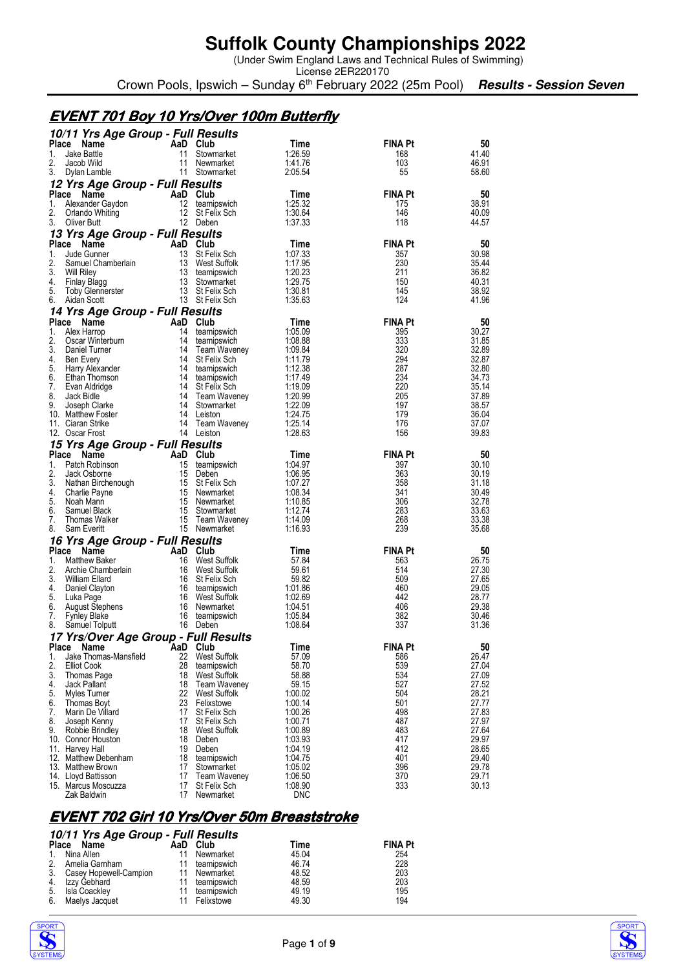(Under Swim England Laws and Technical Rules of Swimming)

License 2ER220170 Crown Pools, Ipswich – Sunday 6<sup>th</sup> February 2022 (25m Pool) **Results - Session Seven** 

### **EVENT 701 Boy 10 Yrs/Over 100m Butterfly**

|             | 10/11 Yrs Age Group - Full Results            |          |                                    |                       |                       |                |
|-------------|-----------------------------------------------|----------|------------------------------------|-----------------------|-----------------------|----------------|
| Place       | Name                                          |          | AaD Club                           | Time                  | <b>FINA Pt</b>        | 50             |
| 1.<br>2.    | <b>Jake Battle</b><br>Jacob Wild              | 11<br>11 | Stowmarket<br>Newmarket            | 1:26.59<br>1:41.76    | 168<br>103            | 41.40<br>46.91 |
| 3.          | Dylan Lamble                                  |          | 11 Stowmarket                      | 2:05.54               | 55                    | 58.60          |
|             | 12 Yrs Age Group - Full Results               |          |                                    |                       |                       |                |
|             | Place Name                                    |          | AaD Club                           | Time                  | <b>FINA Pt</b>        | 50             |
| 1.          | Alexander Gaydon                              |          | 12 teamipswich                     | 1:25.32               | 175                   | 38.91          |
| 2.          | Orlando Whiting                               |          | 12 St Felix Sch                    | 1:30.64               | 146                   | 40.09          |
| 3.          | Oliver Butt                                   |          | 12 Deben                           | 1:37.33               | 118                   | 44.57          |
|             | 13 Yrs Age Group - Full Results<br>Place Name |          | AaD Club                           | Time                  | <b>FINA Pt</b>        | 50             |
| 1.          | Jude Gunner                                   | 13       | St Felix Sch                       | 1:07.33               | 357                   | 30.98          |
| 2.          | Samuel Chamberlain                            |          | 13 West Suffolk                    | 1:17.95               | 230                   | 35.44          |
| 3.          | Will Riley                                    |          | 13 teamipswich                     | 1:20.23               | 211                   | 36.82          |
| 4.          | Finlay Blagg                                  |          | 13 Stowmarket                      | 1:29.75               | 150<br>145            | 40.31          |
| 5.<br>6.    | Toby Glennerster<br>Aidan Scott               |          | 13 St Felix Sch<br>13 St Felix Sch | 1:30.81<br>1:35.63    | 124                   | 38.92<br>41.96 |
|             | 14 Yrs Age Group - Full Results               |          |                                    |                       |                       |                |
|             | Place Name                                    |          | AaD Club                           | Time                  | <b>FINA Pt</b>        | 50             |
| 1.          | Alex Harrop                                   | 14       | teamipswich                        | 1:05.09               | 395                   | 30.27          |
| 2.          | Oscar Winterburn                              |          | 14 teamipswich                     | 1:08.88               | 333                   | 31.85          |
| 3.          | Daniel Turner                                 |          | 14 Team Waveney                    | 1:09.84               | 320                   | 32.89          |
| 4.<br>5.    | Ben Every                                     |          | 14 St Felix Sch                    | 1:11.79<br>1:12.38    | 294<br>287            | 32.87          |
| 6.          | Harry Alexander<br>Ethan Thomson              |          | 14 teamipswich<br>14 teamipswich   | 1:17.49               | 234                   | 32.80<br>34.73 |
| 7.          | Evan Aldridge                                 |          | 14 St Felix Sch                    | 1:19.09               | 220                   | 35.14          |
| 8.          | Jack Bidle                                    |          | 14 Team Waveney                    | 1:20.99               | 205                   | 37.89          |
| 9.          | Joseph Clarke                                 |          | 14 Stowmarket                      | 1:22.09               | 197                   | 38.57          |
|             | 10. Matthew Foster                            |          | 14 Leiston                         | 1:24.75               | 179                   | 36.04          |
|             | 11. Ciaran Strike<br>12. Oscar Frost          |          | 14 Team Waveney<br>14 Leiston      | 1:25.14<br>1:28.63    | 176<br>156            | 37.07<br>39.83 |
|             | 15 Yrs Age Group - Full Results               |          |                                    |                       |                       |                |
|             | Place Name                                    |          | AaD Club                           | Time                  | <b>FINA Pt</b>        | 50             |
| 1.          | Patch Robinson                                |          | 15 teamipswich                     | 1:04.97               | 397                   | 30.10          |
| 2.          | Jack Osborne                                  |          | 15 Deben                           | 1:06.95               | 363                   | 30.19          |
| 3.<br>4.    | Nathan Birchenough                            |          | 15 St Felix Sch                    | 1:07.27               | 358                   | 31.18          |
| 5.          | Charlie Payne<br>Noah Mann                    |          | 15 Newmarket<br>15 Newmarket       | 1:08.34<br>1:10.85    | 341<br>306            | 30.49<br>32.78 |
| 6.          | Samuel Black                                  |          | 15 Stowmarket                      | 1:12.74               | 283                   | 33.63          |
| 7.          | Thomas Walker                                 |          | 15 Team Waveney                    | 1:14.09               | 268                   | 33.38          |
| 8.          | Sam Everitt                                   |          | 15 Newmarket                       | 1:16.93               | 239                   | 35.68          |
|             | 16 Yrs Age Group - Full Results               |          |                                    |                       |                       |                |
| Place<br>1. | Name<br>Matthew Baker                         | 16       | AaD Club<br>West Suffolk           | Time<br>57.84         | <b>FINA Pt</b><br>563 | 50<br>26.75    |
| 2.          | Archie Chamberlain                            |          | 16 West Suffolk                    | 59.61                 | 514                   | 27.30          |
| 3.          | William Ellard                                |          | 16 St Felix Sch                    | 59.82                 | 509                   | 27.65          |
| 4.          | Daniel Clayton                                |          | 16 teamipswich                     | 1:01.86               | 460                   | 29.05          |
| 5.          | Luka Page                                     |          | 16 West Suffolk                    | 1:02.69               | 442                   | 28.77          |
| 6.          | August Stephens                               |          | 16 Newmarket                       | 1:04.51<br>1:05.84    | 406<br>382            | 29.38<br>30.46 |
| 7.<br>8.    | <b>Fynley Blake</b><br>Samuel Tolputt         |          | 16 teamipswich<br>16 Deben         | 1:08.64               | 337                   | 31.36          |
|             | 17 Yrs/Over Age Group - Full Results          |          |                                    |                       |                       |                |
|             | Place Name                                    |          | AaD Club                           | <b>Time</b>           | <b>FINA Pt</b>        | $50\,$         |
| 1.          | Jake Thomas-Mansfield                         |          | 22 West Suffolk                    | 57.09                 | 586                   | 26.47          |
| 2.          | <b>Elliot Cook</b>                            | 28       | teamipswich                        | 58.70                 | 539                   | 27.04          |
| 3.<br>4.    | Thomas Page                                   | 18       | West Suffolk                       | 58.88                 | 534                   | 27.09<br>27.52 |
| 5.          | Jack Pallant<br>Myles Turner                  | 18<br>22 | Team Waveney<br>West Suffolk       | 59.15<br>1:00.02      | 527<br>504            | 28.21          |
| 6.          | Thomas Boyt                                   | 23       | Felixstowe                         | 1:00.14               | 501                   | 27.77          |
| 7.          | Marin De Villard                              | 17       | St Felix Sch                       | 1:00.26               | 498                   | 27.83          |
| 8.          | Joseph Kenny                                  | 17       | St Felix Sch                       | 1:00.71               | 487                   | 27.97          |
| 9.          | Robbie Brindley                               | 18       | West Suffolk                       | 1:00.89               | 483                   | 27.64          |
|             | 10. Connor Houston<br>11. Harvey Hall         | 18<br>19 | Deben<br>Deben                     | 1:03.93<br>1:04.19    | 417<br>412            | 29.97<br>28.65 |
|             | 12. Matthew Debenham                          | 18       | teamipswich                        | 1:04.75               | 401                   | 29.40          |
|             |                                               |          |                                    |                       |                       | 29.78          |
|             | 13. Matthew Brown                             | 17       | Stowmarket                         | 1:05.02               | 396                   |                |
|             | 14. Lloyd Battisson                           | 17       | Team Waveney                       | 1:06.50               | 370                   | 29.71          |
|             | 15. Marcus Moscuzza<br>Zak Baldwin            | 17       | St Felix Sch<br>17 Newmarket       | 1:08.90<br><b>DNC</b> | 333                   | 30.13          |

## **EVENT 702 Girl 10 Yrs/Over 50m Breaststroke**

|                | 10/11 Yrs Age Group - Full Results |    |              |       |                |  |  |  |  |
|----------------|------------------------------------|----|--------------|-------|----------------|--|--|--|--|
|                | Place Name                         |    | AaD Club     | Time  | <b>FINA Pt</b> |  |  |  |  |
|                | 1. Nina Allen                      | 11 | Newmarket    | 45.04 | 254            |  |  |  |  |
| 2 <sub>1</sub> | Amelia Garnham                     | 11 | teamipswich  | 46.74 | 228            |  |  |  |  |
|                | 3. Casey Hopewell-Campion          |    | 11 Newmarket | 48.52 | 203            |  |  |  |  |
|                | 4. Izzy Gebhard                    |    | teamipswich  | 48.59 | 203            |  |  |  |  |
| 5.             | Isla Coackley                      |    | teamipswich  | 49.19 | 195            |  |  |  |  |
| 6.             | Maelys Jacquet                     | 11 | Felixstowe   | 49.30 | 194            |  |  |  |  |



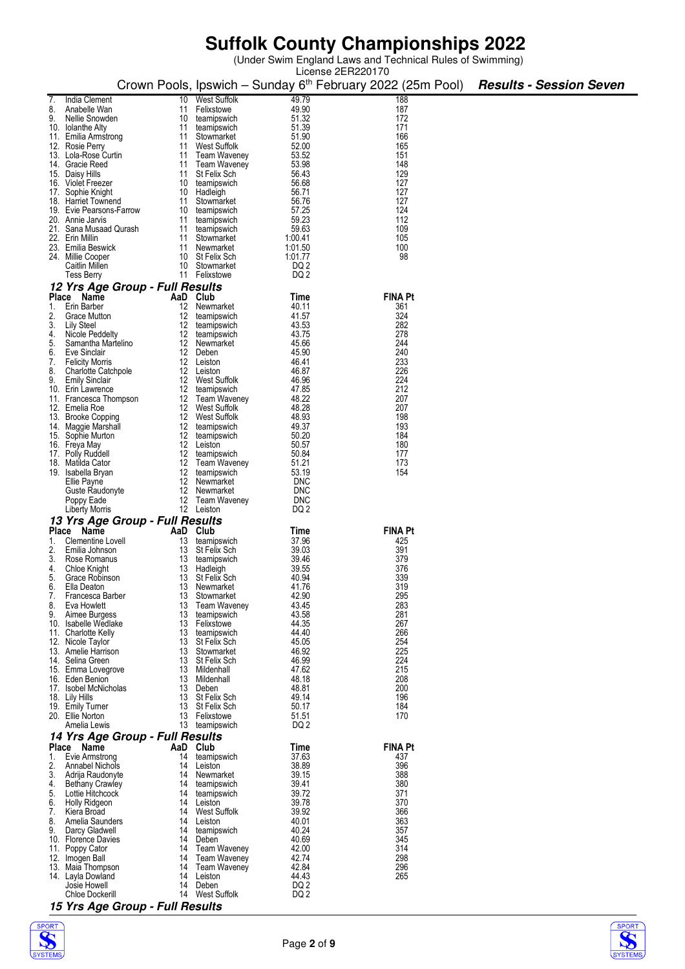(Under Swim England Laws and Technical Rules of Swimming)

|          |                                              |          |                                   |                 | License 2ER220170                                                      |                                |
|----------|----------------------------------------------|----------|-----------------------------------|-----------------|------------------------------------------------------------------------|--------------------------------|
|          |                                              |          |                                   |                 | Crown Pools, Ipswich – Sunday 6 <sup>th</sup> February 2022 (25m Pool) | <b>Results - Session Seven</b> |
|          |                                              |          |                                   | 49.79           | 188                                                                    |                                |
| 8.       | India Clement<br>Anabelle Wan                | 10<br>11 | <b>West Suffolk</b><br>Felixstowe | 49.90           | 187                                                                    |                                |
| 9.       | Nellie Snowden                               | 10       | teamipswich                       | 51.32           | 172                                                                    |                                |
|          | 10. Iolanthe Alty                            | 11       | teamipswich                       | 51.39           | 171                                                                    |                                |
|          | 11. Emilia Armstrong                         | 11       | Stowmarket                        | 51.90           | 166                                                                    |                                |
|          | 12. Rosie Perry                              | 11       | West Suffolk                      | 52.00           | 165                                                                    |                                |
|          | 13. Lola-Rose Curtin                         |          | 11 Team Waveney                   | 53.52           | 151                                                                    |                                |
|          | 14. Gracie Reed                              | 11       | Team Waveney                      | 53.98           | 148                                                                    |                                |
|          | 15. Daisy Hills                              | 11       | St Felix Sch                      | 56.43           | 129                                                                    |                                |
|          | 16. Violet Freezer                           |          | 10 teamipswich                    | 56.68           | 127                                                                    |                                |
|          | 17. Sophie Knight                            | 10       | Hadleigh                          | 56.71           | 127                                                                    |                                |
|          | 18. Harriet Townend                          | 11       | Stowmarket                        | 56.76<br>57.25  | 127<br>124                                                             |                                |
|          | 19. Evie Pearsons-Farrow<br>20. Annie Jarvis | 10<br>11 | teamipswich<br>teamipswich        | 59.23           | 112                                                                    |                                |
|          | 21. Sana Musaad Qurash                       |          | 11 teamipswich                    | 59.63           | 109                                                                    |                                |
|          | 22. Erin Millin                              |          | 11 Stowmarket                     | 1:00.41         | 105                                                                    |                                |
|          | 23. Emilia Beswick                           | 11       | Newmarket                         | 1:01.50         | 100                                                                    |                                |
|          | 24. Millie Cooper                            |          | 10 St Felix Sch                   | 1:01.77         | 98                                                                     |                                |
|          | Caitlin Millen                               |          | 10 Stowmarket                     | DQ 2            |                                                                        |                                |
|          | <b>Tess Berry</b>                            |          | 11 Felixstowe                     | DQ 2            |                                                                        |                                |
|          | 12 Yrs Age Group - Full Results              |          |                                   |                 |                                                                        |                                |
|          | Place Name                                   | AaD Club |                                   | Time            | <b>FINA Pt</b>                                                         |                                |
| 1.       | Erin Barber                                  | 12       | Newmarket                         | 40.11           | 361                                                                    |                                |
| 2.       | Grace Mutton                                 | 12       | teamipswich                       | 41.57           | 324                                                                    |                                |
| 3.       | Lily Steel                                   | 12       | teamipswich                       | 43.53           | 282                                                                    |                                |
| 4.       | Nicole Peddelty                              |          | 12 teamipswich                    | 43.75           | 278                                                                    |                                |
| 5.       | Samantha Martelino                           |          | 12 Newmarket                      | 45.66           | 244                                                                    |                                |
| 6.<br>7. | Eve Sinclair<br><b>Felicity Morris</b>       |          | 12 Deben<br>12 Leiston            | 45.90<br>46.41  | 240<br>233                                                             |                                |
| 8.       | <b>Charlotte Catchpole</b>                   | 12       | Leiston                           | 46.87           | 226                                                                    |                                |
| 9.       | <b>Emily Sinclair</b>                        | 12       | West Suffolk                      | 46.96           | 224                                                                    |                                |
|          | 10. Erin Lawrence                            | 12       | teamipswich                       | 47.85           | 212                                                                    |                                |
|          | 11. Francesca Thompson                       |          | 12 Team Waveney                   | 48.22           | 207                                                                    |                                |
|          | 12. Emelia Roe                               | 12       | West Suffolk                      | 48.28           | 207                                                                    |                                |
|          | 13. Brooke Copping                           |          | 12 West Suffolk                   | 48.93           | 198                                                                    |                                |
|          | 14. Maggie Marshall                          | 12       | teamipswich                       | 49.37           | 193                                                                    |                                |
|          | 15. Sophie Murton                            | 12       | teamipswich                       | 50.20           | 184                                                                    |                                |
|          | 16. Freya May                                |          | 12 Leiston                        | 50.57<br>50.84  | 180<br>177                                                             |                                |
|          | 17. Polly Ruddell<br>18. Matilda Cator       | 12<br>12 | teamipswich<br>Team Waveney       | 51.21           | 173                                                                    |                                |
|          | 19. Isabella Bryan                           | 12       | teamipswich                       | 53.19           | 154                                                                    |                                |
|          | Ellie Payne                                  | 12       | Newmarket                         | <b>DNC</b>      |                                                                        |                                |
|          | Guste Raudonyte                              | 12       | Newmarket                         | <b>DNC</b>      |                                                                        |                                |
|          | Poppy Eade                                   |          | 12 Team Waveney                   | <b>DNC</b>      |                                                                        |                                |
|          | <b>Liberty Morris</b>                        |          | 12 Leiston                        | DQ 2            |                                                                        |                                |
|          | 13 Yrs Age Group - Full Results              |          |                                   |                 |                                                                        |                                |
|          | Place Name                                   | AaD Club |                                   | Time            | <b>FINA Pt</b>                                                         |                                |
| 1.       | Clementine Lovell                            | 13       | teamipswich                       | 37.96           | 425                                                                    |                                |
| 2.       | Emilia Johnson                               | 13       | St Felix Sch                      | 39.03           | 391                                                                    |                                |
| 3.       | Rose Romanus                                 | 13       | teamipswich                       | 39.46           | 379                                                                    |                                |
| 4.       | Chloe Knight                                 | 13       | Hadleigh                          | 39.55           | 376                                                                    |                                |
| 5.       | Grace Robinson<br>Ella Deaton                | 13<br>13 | St Felix Sch<br>Newmarket         | 40.94<br>41.76  | 339<br>319                                                             |                                |
| ხ.<br>7. | Francesca Barber                             | 13       | Stowmarket                        | 42.90           | 295                                                                    |                                |
| 8.       | Eva Howlett                                  | 13       | <b>Team Waveney</b>               | 43.45           | 283                                                                    |                                |
| 9.       | Aimee Burgess                                | 13       | teamipswich                       | 43.58           | 281                                                                    |                                |
|          | 10. Isabelle Wedlake                         |          | 13 Felixstowe                     | 44.35           | 267                                                                    |                                |
|          | 11. Charlotte Kelly                          | 13       | teamipswich                       | 44.40           | 266                                                                    |                                |
|          | 12. Nicole Taylor                            | 13       | St Felix Sch                      | 45.05           | 254                                                                    |                                |
|          | 13. Amelie Harrison                          | 13       | Stowmarket                        | 46.92           | 225                                                                    |                                |
|          | 14. Selina Green<br>15. Emma Lovegrove       | 13<br>13 | <b>St Felix Sch</b><br>Mildenhall | 46.99<br>47.62  | 224<br>215                                                             |                                |
|          | 16. Eden Benion                              | 13       | Mildenhall                        | 48.18           | 208                                                                    |                                |
|          | 17. Isobel McNicholas                        | 13       | Deben                             | 48.81           | 200                                                                    |                                |
|          | 18. Lily Hills                               | 13       | St Felix Sch                      | 49.14           | 196                                                                    |                                |
|          | 19. Emily Turner                             |          | 13 St Felix Sch                   | 50.17           | 184                                                                    |                                |
|          | 20. Ellie Norton                             |          | 13 Felixstowe                     | 51.51           | 170                                                                    |                                |
|          | Amelia Lewis                                 | 13       | teamipswich                       | DQ 2            |                                                                        |                                |
|          | 14 Yrs Age Group - Full Results              |          |                                   |                 |                                                                        |                                |
|          | Place Name                                   | AaD Club |                                   | Time            | <b>FINA Pt</b>                                                         |                                |
| 1.       | Evie Armstrong                               | 14       | teamipswich                       | 37.63           | 437                                                                    |                                |
| 2.       | <b>Annabel Nichols</b>                       | 14       | Leiston                           | 38.89           | 396                                                                    |                                |
| 3.       | Adrija Raudonyte                             | 14       | Newmarket                         | 39.15           | 388                                                                    |                                |
| 4.<br>5. | <b>Bethany Crawley</b><br>Lottie Hitchcock   | 14<br>14 | teamipswich                       | 39.41<br>39.72  | 380<br>371                                                             |                                |
| 6.       | Holly Ridgeon                                | 14       | teamipswich<br>Leiston            | 39.78           | 370                                                                    |                                |
| 7.       | Kiera Broad                                  | 14       | <b>West Suffolk</b>               | 39.92           | 366                                                                    |                                |
| 8.       | Amelia Saunders                              | 14       | Leiston                           | 40.01           | 363                                                                    |                                |
| 9.       | Darcy Gladwell                               | 14       | teamipswich                       | 40.24           | 357                                                                    |                                |
|          | 10. Florence Davies                          | 14       | Deben                             | 40.69           | 345                                                                    |                                |
| 11.      | Poppy Cator                                  | 14       | <b>Team Waveney</b>               | 42.00           | 314                                                                    |                                |
|          | 12. Imogen Ball                              | 14       | Team Waveney                      | 42.74           | 298                                                                    |                                |
|          | 13. Maia Thompson                            | 14       | Team Waveney                      | 42.84           | 296                                                                    |                                |
|          | 14. Layla Dowland                            | 14       | Leiston                           | 44.43           | 265                                                                    |                                |
|          | Josie Howell                                 | 14       | Deben                             | DQ <sub>2</sub> |                                                                        |                                |
|          | <b>Chloe Dockerill</b>                       | 14       | West Suffolk                      | DQ <sub>2</sub> |                                                                        |                                |





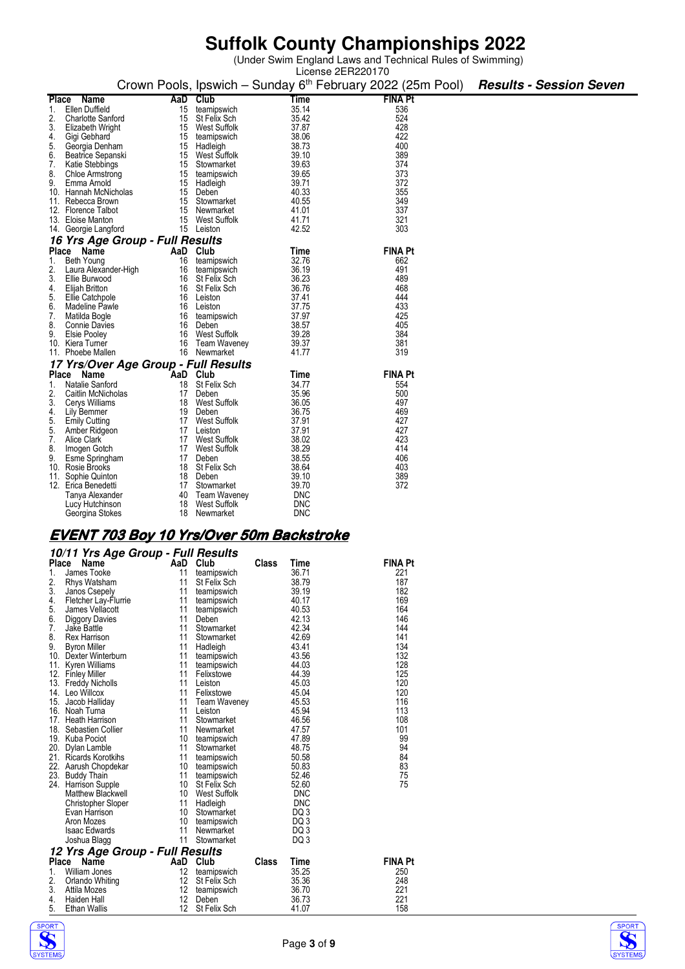(Under Swim England Laws and Technical Rules of Swimming)

|                                                    |    |                          |                | License 2ER220170                                                                                     |  |
|----------------------------------------------------|----|--------------------------|----------------|-------------------------------------------------------------------------------------------------------|--|
|                                                    |    |                          |                | Crown Pools, Ipswich - Sunday 6 <sup>th</sup> February 2022 (25m Pool) <b>Results - Session Seven</b> |  |
| <b>Name</b><br>Place                               |    | AaD Club                 | Time           | <b>FINA Pt</b>                                                                                        |  |
| Ellen Duffield<br>1.                               | 15 | teamipswich              | 35.14          | 536                                                                                                   |  |
| 2.<br><b>Charlotte Sanford</b>                     | 15 | St Felix Sch             | 35.42          | 524                                                                                                   |  |
| 3.<br>Elizabeth Wright                             | 15 | West Suffolk             | 37.87          | 428                                                                                                   |  |
| 4.<br>Gigi Gebhard                                 | 15 | teamipswich              | 38.06          | 422                                                                                                   |  |
| 5.<br>Georgia Denham                               | 15 | Hadleigh                 | 38.73          | 400                                                                                                   |  |
| 6.<br>Beatrice Sepanski                            | 15 | West Suffolk             | 39.10          | 389                                                                                                   |  |
| 7.<br>Katie Stebbings                              | 15 | Stowmarket               | 39.63          | 374                                                                                                   |  |
| 8.<br><b>Chloe Armstrong</b>                       | 15 | teamipswich              | 39.65          | 373                                                                                                   |  |
| 9.<br>Emma Arnold                                  |    | 15 Hadleigh              | 39.71          | 372                                                                                                   |  |
| 10. Hannah McNicholas                              | 15 | Deben                    | 40.33          | 355                                                                                                   |  |
| 11. Rebecca Brown                                  |    | 15 Stowmarket            | 40.55          | 349                                                                                                   |  |
| 12. Florence Talbot                                | 15 | Newmarket                | 41.01          | 337                                                                                                   |  |
| 13. Eloise Manton                                  |    | 15 West Suffolk          | 41.71          | 321                                                                                                   |  |
| 14. Georgie Langford                               |    | 15 Leiston               | 42.52          | 303                                                                                                   |  |
| 16 Yrs Age Group - Full Results                    |    |                          |                |                                                                                                       |  |
| Place Name                                         |    | AaD Club                 | Time           | <b>FINA Pt</b>                                                                                        |  |
| Beth Young<br>1.                                   | 16 | teamipswich              | 32.76          | 662                                                                                                   |  |
| 2.<br>Laura Alexander-High                         | 16 | teamipswich              | 36.19          | 491                                                                                                   |  |
| 3.<br>Ellie Burwood                                |    | 16 St Felix Sch          | 36.23          | 489                                                                                                   |  |
| 4.<br>Elijah Britton                               | 16 | St Felix Sch             | 36.76          | 468                                                                                                   |  |
| Ellie Catchpole<br>5.                              | 16 | Leiston                  | 37.41          | 444                                                                                                   |  |
| 6.<br>Madeline Pawle                               | 16 | Leiston                  | 37.75          | 433                                                                                                   |  |
| 7.<br>Matilda Bogle                                | 16 | teamipswich              | 37.97          | 425                                                                                                   |  |
| 8.<br><b>Connie Davies</b>                         | 16 | Deben                    | 38.57          | 405<br>384                                                                                            |  |
| 9.<br><b>Elsie Pooley</b>                          | 16 | West Suffolk             | 39.28          |                                                                                                       |  |
| 10. Kiera Turner<br>11. Phoebe Mallen              | 16 | Team Waveney             | 39.37<br>41.77 | 381<br>319                                                                                            |  |
|                                                    | 16 | Newmarket                |                |                                                                                                       |  |
| 17 Yrs/Over Age Group - Full Results<br>Place Name |    |                          |                | <b>FINA Pt</b>                                                                                        |  |
| Natalie Sanford                                    | 18 | AaD Club<br>St Felix Sch | Time<br>34.77  |                                                                                                       |  |
| 1.                                                 |    | 17 Deben                 | 35.96          | 554<br>500                                                                                            |  |
| 2.<br>Caitlin McNicholas<br>3.<br>Cerys Williams   | 18 | <b>West Suffolk</b>      | 36.05          | 497                                                                                                   |  |
| 4.<br>Lily Bemmer                                  | 19 | Deben                    | 36.75          | 469                                                                                                   |  |
| 5.<br><b>Emily Cutting</b>                         |    | 17 West Suffolk          | 37.91          | 427                                                                                                   |  |
| 5.<br>Amber Ridgeon                                |    | 17 Leiston               | 37.91          | 427                                                                                                   |  |
| 7.<br>Alice Clark                                  |    | 17 West Suffolk          | 38.02          | 423                                                                                                   |  |
| 8.<br>Imogen Gotch                                 |    | 17 West Suffolk          | 38.29          | 414                                                                                                   |  |
| 9.<br>Esme Springham                               |    | 17 Deben                 | 38.55          | 406                                                                                                   |  |
| 10. Rosie Brooks                                   |    | 18 St Felix Sch          | 38.64          | 403                                                                                                   |  |
| 11.<br>Sophie Quinton                              | 18 | Deben                    | 39.10          | 389                                                                                                   |  |
| 12. Erica Benedetti                                | 17 | Stowmarket               | 39.70          | 372                                                                                                   |  |
| Tanya Alexander                                    | 40 | Team Waveney             | <b>DNC</b>     |                                                                                                       |  |
| Lucy Hutchinson                                    | 18 | <b>West Suffolk</b>      | <b>DNC</b>     |                                                                                                       |  |
| Georgina Stokes                                    | 18 | Newmarket                | <b>DNC</b>     |                                                                                                       |  |
|                                                    |    |                          |                |                                                                                                       |  |

### **EVENT 703 Boy 10 Yrs/Over 50m Backstroke**

|       | 10/11 Yrs Age Group - Full Results |                 |                     |       |            |                |  |  |  |
|-------|------------------------------------|-----------------|---------------------|-------|------------|----------------|--|--|--|
| Place | Name                               | AaD             | Club                | Class | Time       | <b>FINA Pt</b> |  |  |  |
| 1.    | James Tooke                        | 11              | teamipswich         |       | 36.71      | 221            |  |  |  |
| 2.    | Rhys Watsham                       | 11              | St Felix Sch        |       | 38.79      | 187            |  |  |  |
| 3.    | Janos Csepely                      | 11              | teamipswich         |       | 39.19      | 182            |  |  |  |
| 4.    | Fletcher Lay-Flurrie               | 11              | teamipswich         |       | 40.17      | 169            |  |  |  |
| 5.    | James Vellacott                    | 11              | teamipswich         |       | 40.53      | 164            |  |  |  |
| 6.    | Diggory Davies                     | 11              | Deben               |       | 42.13      | 146            |  |  |  |
| 7.    | Jake Battle                        | 11              | Stowmarket          |       | 42.34      | 144            |  |  |  |
| 8.    | Rex Harrison                       | 11              | Stowmarket          |       | 42.69      | 141            |  |  |  |
| 9.    | <b>Byron Miller</b>                | 11              | Hadleigh            |       | 43.41      | 134            |  |  |  |
|       | 10. Dexter Winterburn              | 11              | teamipswich         |       | 43.56      | 132            |  |  |  |
| 11.   | Kyren Williams                     | 11              | teamipswich         |       | 44.03      | 128            |  |  |  |
|       | 12. Finley Miller                  | 11              | Felixstowe          |       | 44.39      | 125            |  |  |  |
|       | 13. Freddy Nicholls                | 11              | Leiston             |       | 45.03      | 120            |  |  |  |
|       | 14. Leo Willcox                    | 11              | Felixstowe          |       | 45.04      | 120            |  |  |  |
|       | 15. Jacob Halliday                 | 11              | <b>Team Waveney</b> |       | 45.53      | 116            |  |  |  |
|       | 16. Noah Turna                     | 11              | Leiston             |       | 45.94      | 113            |  |  |  |
|       | 17. Heath Harrison                 | 11              | Stowmarket          |       | 46.56      | 108            |  |  |  |
|       | 18. Sebastien Collier              | 11              | Newmarket           |       | 47.57      | 101            |  |  |  |
|       | 19. Kuba Pociot                    | 10              | teamipswich         |       | 47.89      | 99             |  |  |  |
|       | 20. Dylan Lamble                   | 11              | Stowmarket          |       | 48.75      | 94             |  |  |  |
|       | 21. Ricards Korotkihs              | 11              | teamipswich         |       | 50.58      | 84             |  |  |  |
|       | 22. Aarush Chopdekar               | 10              | teamipswich         |       | 50.83      | 83             |  |  |  |
|       | 23. Buddy Thain                    | 11              | teamipswich         |       | 52.46      | 75             |  |  |  |
|       | 24. Harrison Supple                | 10              | St Felix Sch        |       | 52.60      | 75             |  |  |  |
|       | Matthew Blackwell                  | 10              | <b>West Suffolk</b> |       | <b>DNC</b> |                |  |  |  |
|       | Christopher Sloper                 | 11              | Hadleigh            |       | <b>DNC</b> |                |  |  |  |
|       | Evan Harrison                      | 10              | Stowmarket          |       | DQ3        |                |  |  |  |
|       | Aron Mozes                         | $10-10$         | teamipswich         |       | DQ3        |                |  |  |  |
|       | <b>Isaac Edwards</b>               | 11              | Newmarket           |       | DQ3        |                |  |  |  |
|       | Joshua Blagg                       | 11              | Stowmarket          |       | DQ3        |                |  |  |  |
|       | 12 Yrs Age Group - Full Results    |                 |                     |       |            |                |  |  |  |
|       | Place<br>Name                      | AaD Club        |                     | Class | Time       | <b>FINA Pt</b> |  |  |  |
| 1.    | William Jones                      | 12              | teamipswich         |       | 35.25      | 250            |  |  |  |
| 2.    | Orlando Whiting                    | 12 <sup>°</sup> | St Felix Sch        |       | 35.36      | 248            |  |  |  |
| 3.    | Attila Mozes                       | 12 <sup>°</sup> | teamipswich         |       | 36.70      | 221            |  |  |  |
| 4.    | Haiden Hall                        | 12              | Deben               |       | 36.73      | 221            |  |  |  |
| 5.    | <b>Ethan Wallis</b>                | 12              | St Felix Sch        |       | 41.07      | 158            |  |  |  |
|       |                                    |                 |                     |       |            |                |  |  |  |



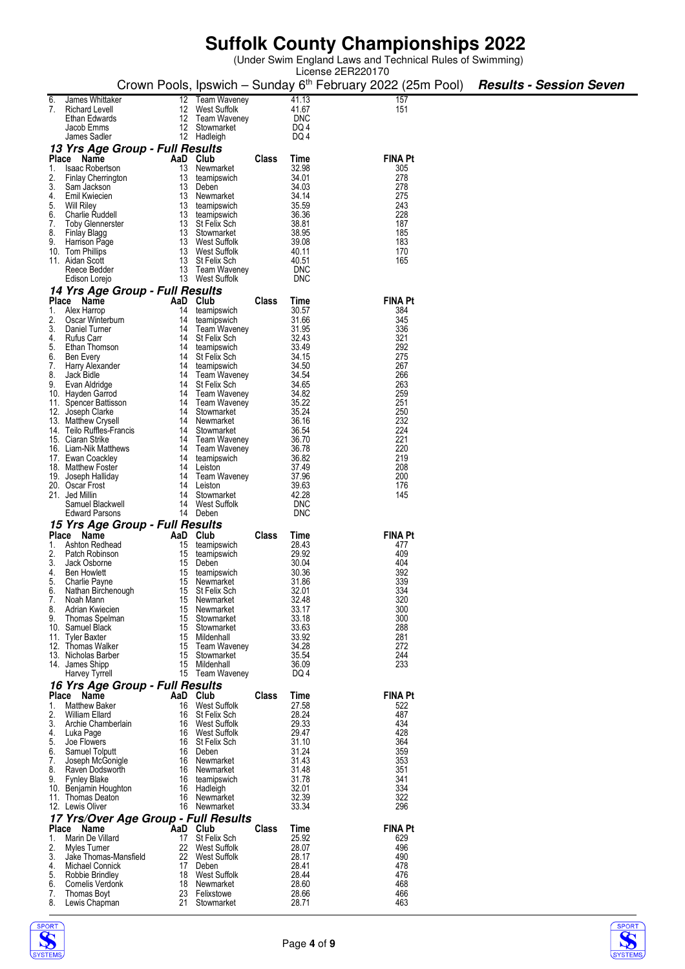(Under Swim England Laws and Technical Rules of Swimming)

|          |                                              |          |                                     |              |                          | License 2ER220170                                                                                     |  |
|----------|----------------------------------------------|----------|-------------------------------------|--------------|--------------------------|-------------------------------------------------------------------------------------------------------|--|
|          |                                              |          |                                     |              |                          | Crown Pools, Ipswich – Sunday 6 <sup>th</sup> February 2022 (25m Pool) <b>Results - Session Seven</b> |  |
| 6.       | James Whittaker                              |          | 12 Team Waveney                     |              | 41.13                    | 157                                                                                                   |  |
| 7.       | <b>Richard Levell</b>                        |          | 12 West Suffolk                     |              | 41.67                    | 151                                                                                                   |  |
|          | Ethan Edwards                                |          | 12 Team Waveney                     |              | DNC                      |                                                                                                       |  |
|          | Jacob Emms                                   |          | 12 Stowmarket                       |              | DQ 4                     |                                                                                                       |  |
|          | James Sadler                                 |          | 12 Hadleigh                         |              | DQ 4                     |                                                                                                       |  |
|          | 13 Yrs Age Group - Full Results              |          |                                     |              |                          |                                                                                                       |  |
|          | Place Name                                   | AaD Club |                                     | <b>Class</b> | Time                     | <b>FINA Pt</b>                                                                                        |  |
| 1.       | <b>Isaac Robertson</b>                       | 13       | Newmarket                           |              | 32.98                    | 305                                                                                                   |  |
| 2.<br>3. | <b>Finlay Cherrington</b><br>Sam Jackson     | 13       | teamipswich<br>13 Deben             |              | 34.01<br>34.03           | 278<br>278                                                                                            |  |
| 4.       | Emil Kwiecien                                |          | 13 Newmarket                        |              | 34.14                    | 275                                                                                                   |  |
| 5.       | Will Riley                                   |          | 13 teamipswich                      |              | 35.59                    | 243                                                                                                   |  |
| 6.       | Charlie Ruddell                              |          | 13 teamipswich                      |              | 36.36                    | 228                                                                                                   |  |
| 7.       | <b>Toby Glennerster</b>                      |          | 13 St Felix Sch                     |              | 38.81                    | 187                                                                                                   |  |
| 8.       | Finlay Blagg                                 |          | 13 Stowmarket                       |              | 38.95                    | 185                                                                                                   |  |
| 9.       | Harrison Page<br>10. Tom Phillips            |          | 13 West Suffolk<br>13 West Suffolk  |              | 39.08<br>40.11           | 183<br>170                                                                                            |  |
|          | 11. Aidan Scott                              |          | 13 St Felix Sch                     |              | 40.51                    | 165                                                                                                   |  |
|          | Reece Bedder                                 |          | 13 Team Waveney                     |              | <b>DNC</b>               |                                                                                                       |  |
|          | Edison Lorejo                                |          | 13 West Suffolk                     |              | <b>DNC</b>               |                                                                                                       |  |
|          | 14 Yrs Age Group - Full Results              |          |                                     |              |                          |                                                                                                       |  |
|          | Place Name                                   | AaD Club |                                     | Class        | Time                     | <b>FINA Pt</b>                                                                                        |  |
| 1.       | Alex Harrop                                  | 14       | teamipswich                         |              | 30.57                    | 384                                                                                                   |  |
| 2.<br>3. | Oscar Winterburn<br>Daniel Turner            | 14       | teamipswich                         |              | 31.66<br>31.95           | 345<br>336                                                                                            |  |
| 4.       | Rufus Carr                                   | 14       | 14 Team Waveney<br>St Felix Sch     |              | 32.43                    | 321                                                                                                   |  |
| 5.       | Ethan Thomson                                | 14       | teamipswich                         |              | 33.49                    | 292                                                                                                   |  |
| 6.       | Ben Every                                    |          | 14 St Felix Sch                     |              | 34.15                    | 275                                                                                                   |  |
| 7.       | Harry Alexander                              | 14       | teamipswich                         |              | 34.50                    | 267                                                                                                   |  |
| 8.       | Jack Bidle                                   |          | 14 Team Waveney                     |              | 34.54                    | 266                                                                                                   |  |
| 9.       | Evan Aldridge<br>10. Hayden Garrod           | 14       | 14 St Felix Sch<br>Team Waveney     |              | 34.65<br>34.82           | 263<br>259                                                                                            |  |
|          | 11. Spencer Battisson                        |          | 14 Team Waveney                     |              | 35.22                    | 251                                                                                                   |  |
|          | 12. Joseph Clarke                            |          | 14 Stowmarket                       |              | 35.24                    | 250                                                                                                   |  |
|          | 13. Matthew Crysell                          | 14       | Newmarket                           |              | 36.16                    | 232                                                                                                   |  |
|          | 14. Teilo Ruffles-Francis                    |          | 14 Stowmarket                       |              | 36.54                    | 224                                                                                                   |  |
|          | 15. Ciaran Strike<br>16. Liam-Nik Matthews   | 14       | 14 Team Waveney<br>Team Waveney     |              | 36.70<br>36.78           | 221<br>220                                                                                            |  |
|          | 17. Ewan Coackley                            | 14       | teamipswich                         |              | 36.82                    | 219                                                                                                   |  |
|          | 18. Matthew Foster                           | 14       | Leiston                             |              | 37.49                    | 208                                                                                                   |  |
|          | 19. Joseph Halliday                          | 14       | Team Waveney                        |              | 37.96                    | 200                                                                                                   |  |
|          | 20. Oscar Frost                              | 14       | Leiston                             |              | 39.63                    | 176                                                                                                   |  |
|          | 21. Jed Millin                               | 14       | Stowmarket                          |              | 42.28                    | 145                                                                                                   |  |
|          | Samuel Blackwell<br><b>Edward Parsons</b>    | 14       | West Suffolk<br>14 Deben            |              | <b>DNC</b><br><b>DNC</b> |                                                                                                       |  |
|          | 15 Yrs Age Group - Full Results              |          |                                     |              |                          |                                                                                                       |  |
|          | Place Name                                   | AaD Club |                                     | Class        | Time                     | <b>FINA Pt</b>                                                                                        |  |
| 1.       | Ashton Redhead                               | 15       | teamipswich                         |              | 28.43                    | 477                                                                                                   |  |
| 2.       | Patch Robinson                               | 15       | teamipswich                         |              | 29.92                    | 409                                                                                                   |  |
| 3.       | Jack Osborne                                 | 15       | Deben                               |              | 30.04                    | 404                                                                                                   |  |
| 4.       | <b>Ben Howlett</b>                           | 15       | teamipswich                         |              | 30.36                    | 392                                                                                                   |  |
| 5<br>6.  | Charlie Payne<br>Nathan Birchenough          | 15       | 15 Newmarket<br><b>St Felix Sch</b> |              | 31.86<br>32.01           | 339<br>334                                                                                            |  |
| 7.       | Noah Mann                                    | 15       | Newmarket                           |              | 32.48                    | 320                                                                                                   |  |
| 8.       | Adrian Kwiecien                              | 15       | Newmarket                           |              | 33.17                    | 300                                                                                                   |  |
| 9.       | Thomas Spelman                               | 15       | Stowmarket                          |              | 33.18                    | 300                                                                                                   |  |
|          | 10. Samuel Black                             | 15       | Stowmarket                          |              | 33.63                    | 288                                                                                                   |  |
|          | 11. Tyler Baxter<br>12. Thomas Walker        | 15       | 15 Mildenhall<br>Team Waveney       |              | 33.92<br>34.28           | 281<br>272                                                                                            |  |
|          | 13. Nicholas Barber                          | 15       | Stowmarket                          |              | 35.54                    | 244                                                                                                   |  |
|          | 14. James Shipp                              | 15       | Mildenhall                          |              | 36.09                    | 233                                                                                                   |  |
|          | Harvey Tyrrell                               |          | 15 Team Waveney                     |              | DQ 4                     |                                                                                                       |  |
|          | 16 Yrs Age Group - Full Results              |          |                                     |              |                          |                                                                                                       |  |
|          | Place Name                                   | AaD      | Club                                | Class        | Time                     | <b>FINA Pt</b>                                                                                        |  |
| 1.       | <b>Matthew Baker</b>                         | 16       | West Suffolk                        |              | 27.58                    | 522                                                                                                   |  |
| 2.<br>3. | William Ellard<br>Archie Chamberlain         | 16<br>16 | St Felix Sch<br>West Suffolk        |              | 28.24<br>29.33           | 487<br>434                                                                                            |  |
| 4.       | Luka Page                                    |          | 16 West Suffolk                     |              | 29.47                    | 428                                                                                                   |  |
| 5.       | Joe Flowers                                  |          | 16 St Felix Sch                     |              | 31.10                    | 364                                                                                                   |  |
| 6.       | Samuel Tolputt                               | 16       | Deben                               |              | 31.24                    | 359                                                                                                   |  |
| 7.       | Joseph McGonigle                             | 16       | Newmarket                           |              | 31.43                    | 353                                                                                                   |  |
| 8.<br>9. | Raven Dodsworth                              | 16       | Newmarket                           |              | 31.48<br>31.78           | 351<br>341                                                                                            |  |
|          | <b>Fynley Blake</b><br>10. Benjamin Houghton | 16<br>16 | teamipswich<br>Hadleigh             |              | 32.01                    | 334                                                                                                   |  |
|          | 11. Thomas Deaton                            | 16       | Newmarket                           |              | 32.39                    | 322                                                                                                   |  |
|          | 12. Lewis Oliver                             | 16       | Newmarket                           |              | 33.34                    | 296                                                                                                   |  |
|          | 17 Yrs/Over Age Group - Full Results         |          |                                     |              |                          |                                                                                                       |  |
|          | Place Name                                   | AaD      | Club                                | Class        | Time                     | <b>FINA Pt</b>                                                                                        |  |
| 1.       | Marin De Villard                             | 17       | St Felix Sch                        |              | 25.92                    | 629                                                                                                   |  |
| 2.<br>3. | Myles Turner                                 | 22<br>22 | West Suffolk<br>West Suffolk        |              | 28.07<br>28.17           | 496<br>490                                                                                            |  |
| 4.       | Jake Thomas-Mansfield<br>Michael Connick     | 17       | Deben                               |              | 28.41                    | 478                                                                                                   |  |
| 5.       | Robbie Brindley                              | 18       | West Suffolk                        |              | 28.44                    | 476                                                                                                   |  |
| 6.       | Cornelis Verdonk                             | 18       | Newmarket                           |              | 28.60                    | 468                                                                                                   |  |
| 7.       | Thomas Boyt                                  | 23       | Felixstowe                          |              | 28.66                    | 466                                                                                                   |  |
| 8.       | Lewis Chapman                                | 21       | Stowmarket                          |              | 28.71                    | 463                                                                                                   |  |



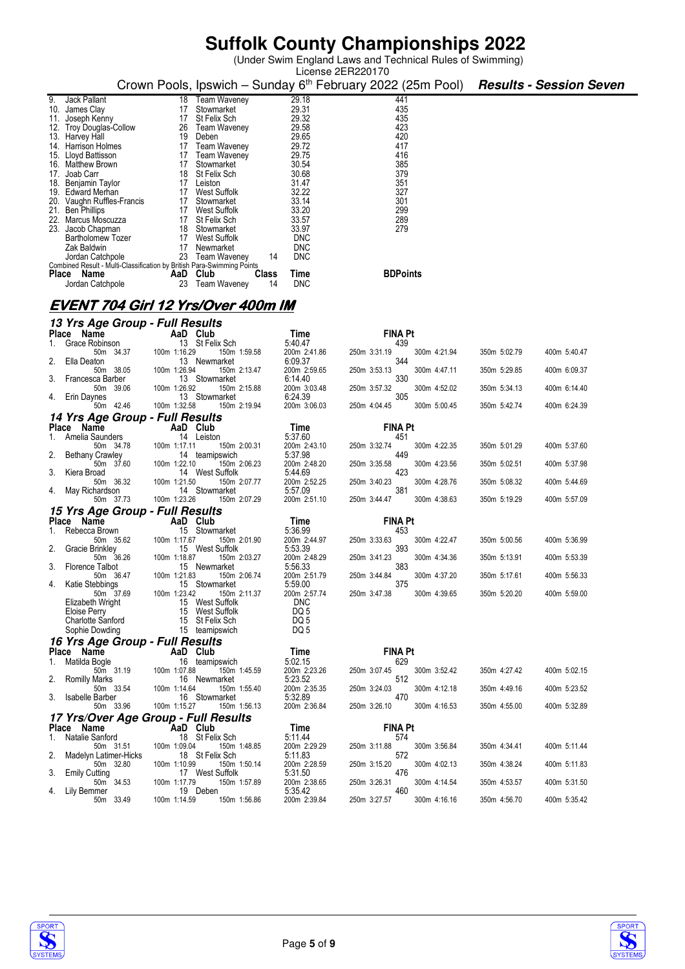(Under Swim England Laws and Technical Rules of Swimming)

|                                                      |                                                                        |                         | License 2ER220170                                                                                     |              |              |
|------------------------------------------------------|------------------------------------------------------------------------|-------------------------|-------------------------------------------------------------------------------------------------------|--------------|--------------|
|                                                      |                                                                        |                         | Crown Pools, Ipswich – Sunday 6 <sup>th</sup> February 2022 (25m Pool) <b>Results - Session Seven</b> |              |              |
| Jack Pallant<br>9.                                   | 18                                                                     | 29.18                   | 441                                                                                                   |              |              |
| 10. James Clay                                       | <b>Team Waveney</b><br>17<br>Stowmarket                                | 29.31                   | 435                                                                                                   |              |              |
| Joseph Kenny<br>11.                                  | 17<br>St Felix Sch                                                     | 29.32                   | 435                                                                                                   |              |              |
| 12. Troy Douglas-Collow                              | 26<br><b>Team Waveney</b>                                              | 29.58                   | 423                                                                                                   |              |              |
| Harvey Hall<br>13.                                   | 19<br>Deben                                                            | 29.65                   | 420                                                                                                   |              |              |
| Harrison Holmes<br>14.                               | 17<br><b>Team Waveney</b>                                              | 29.72                   | 417                                                                                                   |              |              |
| Lloyd Battisson<br>15.                               | 17<br>Team Waveney                                                     | 29.75                   | 416                                                                                                   |              |              |
| Matthew Brown<br>16.                                 | 17<br>Stowmarket                                                       | 30.54                   | 385                                                                                                   |              |              |
| Joab Carr<br>17.                                     | 18<br>St Felix Sch                                                     | 30.68                   | 379                                                                                                   |              |              |
| Benjamin Taylor<br>18.                               | 17 Leiston                                                             | 31.47                   | 351                                                                                                   |              |              |
| 19.<br>Edward Merhan                                 | 17<br>West Suffolk                                                     | 32.22                   | 327                                                                                                   |              |              |
| 20. Vaughn Ruffles-Francis                           | 17<br>Stowmarket                                                       | 33.14                   | 301                                                                                                   |              |              |
| 21.<br><b>Ben Phillips</b><br>22.<br>Marcus Moscuzza | 17<br>West Suffolk<br>17<br>St Felix Sch                               | 33.20<br>33.57          | 299<br>289                                                                                            |              |              |
| 23. Jacob Chapman                                    | 18<br>Stowmarket                                                       | 33.97                   | 279                                                                                                   |              |              |
| <b>Bartholomew Tozer</b>                             | 17 West Suffolk                                                        | <b>DNC</b>              |                                                                                                       |              |              |
| Zak Baldwin                                          | 17<br>Newmarket                                                        | <b>DNC</b>              |                                                                                                       |              |              |
| Jordan Catchpole                                     | 23<br>Team Waveney                                                     | <b>DNC</b><br>14        |                                                                                                       |              |              |
|                                                      | Combined Result - Multi-Classification by British Para-Swimming Points |                         |                                                                                                       |              |              |
| Place Name                                           | AaD Club                                                               | <b>Class</b><br>Time    | <b>BDPoints</b>                                                                                       |              |              |
| Jordan Catchpole                                     | 23 Team Waveney                                                        | <b>DNC</b><br>14        |                                                                                                       |              |              |
|                                                      | <u>EVENT 704 Girl 12 Yrs/Over 400m IM</u>                              |                         |                                                                                                       |              |              |
|                                                      |                                                                        |                         |                                                                                                       |              |              |
| 13 Yrs Age Group - Full Results                      |                                                                        |                         |                                                                                                       |              |              |
| Place Name                                           | AaD Club                                                               | Time                    | <b>FINA Pt</b>                                                                                        |              |              |
| Grace Robinson<br>50m 34.37                          | 13 St Felix Sch<br>100m 1:16.29<br>150m 1:59.58                        | 5:40.47<br>200m 2:41.86 | 439<br>250m 3:31.19<br>300m 4:21.94                                                                   | 350m 5:02.79 | 400m 5:40.47 |
| Ella Deaton<br>2.                                    | 13 Newmarket                                                           | 6:09.37                 | 344                                                                                                   |              |              |
| 50m 38.05                                            | 100m 1:26.94<br>150m 2:13.47                                           | 200m 2:59.65            | 300m 4:47.11<br>250m 3:53.13                                                                          | 350m 5:29.85 | 400m 6:09.37 |
| Francesca Barber<br>3.                               | 13 Stowmarket                                                          | 6:14.40                 | 330                                                                                                   |              |              |
| 50m 39.06<br>Erin Daynes<br>4.                       | 100m 1:26.92<br>150m 2:15.88<br>13 Stowmarket                          | 200m 3:03.48<br>6:24.39 | 300m 4:52.02<br>250m 3:57.32<br>305                                                                   | 350m 5:34.13 | 400m 6:14.40 |
| 50m 42.46                                            | 100m 1:32.58<br>150m 2:19.94                                           | 200m 3:06.03            | 250m 4:04.45<br>300m 5:00.45                                                                          | 350m 5:42.74 | 400m 6:24.39 |
| 14 Yrs Age Group - Full Results                      |                                                                        |                         |                                                                                                       |              |              |
| Name<br><b>Place</b>                                 | AaD Club                                                               | Time                    | <b>FINA Pt</b>                                                                                        |              |              |
| Amelia Saunders<br>1.<br>50m 34.78                   | 14 Leiston<br>150m 2:00.31<br>100m 1:17.11                             | 5:37.60<br>200m 2:43.10 | 451<br>300m 4:22.35<br>250m 3:32.74                                                                   | 350m 5:01.29 | 400m 5:37.60 |
| <b>Bethany Crawley</b><br>2.                         | 14 teamipswich                                                         | 5:37.98                 | 449                                                                                                   |              |              |
| 50m 37.60<br>Kiera Broad<br>3.                       | 100m 1:22.10<br>150m 2:06.23<br>14 West Suffolk                        | 200m 2:48.20<br>5:44.69 | 300m 4:23.56<br>250m 3:35.58<br>423                                                                   | 350m 5:02.51 | 400m 5:37.98 |
| 50m 36.32                                            | 100m 1:21.50<br>150m 2:07.77                                           | 200m 2:52.25            | 250m 3:40.23<br>300m 4:28.76                                                                          | 350m 5:08.32 | 400m 5:44.69 |
| May Richardson<br>50m 37.73                          | 14 Stowmarket<br>100m 1:23.26<br>150m 2:07.29                          | 5:57.09<br>200m 2:51.10 | 381<br>300m 4:38.63<br>250m 3:44.47                                                                   | 350m 5:19.29 | 400m 5:57.09 |
| <i><b>15 Yrs Age Group - Full Results</b></i>        |                                                                        |                         |                                                                                                       |              |              |
| <b>Place</b><br>Name                                 | AaD Club                                                               | Time                    | <b>FINA Pt</b>                                                                                        |              |              |
| Rebecca Brown                                        | Stowmarket<br>15                                                       | 5:36.99                 | 453                                                                                                   |              |              |
| 50m 35.62                                            | 100m 1:17.67<br>150m 2:01.90                                           | 200m 2:44.97            | 250m 3:33.63<br>300m 4:22.47                                                                          | 350m 5:00.56 | 400m 5:36.99 |
| 2.<br>Gracie Brinkley<br>50m 36.26                   | West Suffolk<br>15<br>150m 2:03.27<br>100m 1:18.87                     | 5:53.39<br>200m 2:48.29 | 393<br>250m 3:41.23<br>300m 4:34.36                                                                   | 350m 5:13.91 | 400m 5:53.39 |
| <b>Florence Talbot</b>                               | 15 Newmarket                                                           | 5.56.33                 | 383                                                                                                   |              |              |
| 50m 36.47<br>Katie Stebbings                         | 100m 1:21.83<br>150m 2:06.74<br>15 Stowmarket                          | 200m 2:51.79<br>5:59.00 | 300m 4:37.20<br>250m 3:44.84<br>375                                                                   | 350m 5:17.61 | 400m 5:56.33 |
| 50m 37.69                                            | 100m 1:23.42<br>150m 2:11.37                                           | 200m 2:57.74            | 250m 3:47.38<br>300m 4:39.65                                                                          | 350m 5:20.20 | 400m 5:59.00 |
| Elizabeth Wright                                     | 15 West Suffolk                                                        | <b>DNC</b>              |                                                                                                       |              |              |
| Eloise Perry                                         | 15 West Suffolk                                                        | DQ 5                    |                                                                                                       |              |              |
| <b>Charlotte Sanford</b><br>Sophie Dowding           | 15 St Felix Sch<br>15 teamipswich                                      | DQ <sub>5</sub><br>DQ 5 |                                                                                                       |              |              |
| 16 Yrs Age Group - Full Results                      |                                                                        |                         |                                                                                                       |              |              |
| Place Name                                           | AaD Club                                                               | Time                    | <b>FINA Pt</b>                                                                                        |              |              |
| Matilda Bogle<br>1.                                  | 16 teamipswich                                                         | 5:02.15                 | 629                                                                                                   |              |              |
| 50m 31.19                                            | 100m 1:07.88<br>150m 1:45.59                                           | 200m 2:23.26            | 300m 3:52.42<br>250m 3:07.45                                                                          | 350m 4:27.42 | 400m 5:02.15 |
| <b>Romilly Marks</b><br>2.<br>50m 33.54              | 16 Newmarket<br>100m 1:14.64<br>150m 1:55.40                           | 5:23.52<br>200m 2:35.35 | 512<br>250m 3:24.03<br>300m 4:12.18                                                                   | 350m 4:49.16 | 400m 5:23.52 |
| 3. Isabelle Barber                                   | 16 Stowmarket                                                          | 5:32.89                 | 470                                                                                                   |              |              |
| 50m 33.96                                            | 100m 1:15.27<br>150m 1:56.13                                           | 200m 2:36.84            | 250m 3:26.10<br>300m 4:16.53                                                                          | 350m 4:55.00 | 400m 5:32.89 |
|                                                      | <i><b>17 Yrs/Over Age Group - Full Results</b></i><br>AaD Club         |                         |                                                                                                       |              |              |
| Place Name<br>Natalie Sanford<br>1.                  | 18 St Felix Sch                                                        | Time<br>5:11.44         | <b>FINA Pt</b><br>574                                                                                 |              |              |
| 50m 31.51                                            | 100m 1:09.04<br>150m 1:48.85                                           | 200m 2:29.29            | 250m 3:11.88<br>300m 3:56.84                                                                          | 350m 4:34.41 | 400m 5:11.44 |
| Madelyn Latimer-Hicks<br>2.<br>50m 32.80             | 18 St Felix Sch<br>100m 1:10.99<br>150m 1:50.14                        | 5:11.83<br>200m 2:28.59 | 572<br>250m 3:15.20<br>300m 4:02.13                                                                   | 350m 4:38.24 | 400m 5:11.83 |
| 3.<br><b>Emily Cutting</b>                           | 17 West Suffolk                                                        | 5:31.50                 | 476                                                                                                   |              |              |
| 50m 34.53                                            | 100m 1:17.79<br>150m 1:57.89<br>19 Deben                               | 200m 2:38.65<br>5:35.42 | 250m 3:26.31<br>300m 4:14.54<br>460                                                                   | 350m 4:53.57 | 400m 5:31.50 |
| 4. Lily Bemmer<br>50m 33.49                          | 100m 1:14.59<br>150m 1:56.86                                           | 200m 2:39.84            | 250m 3:27.57<br>300m 4:16.16                                                                          | 350m 4:56.70 | 400m 5:35.42 |



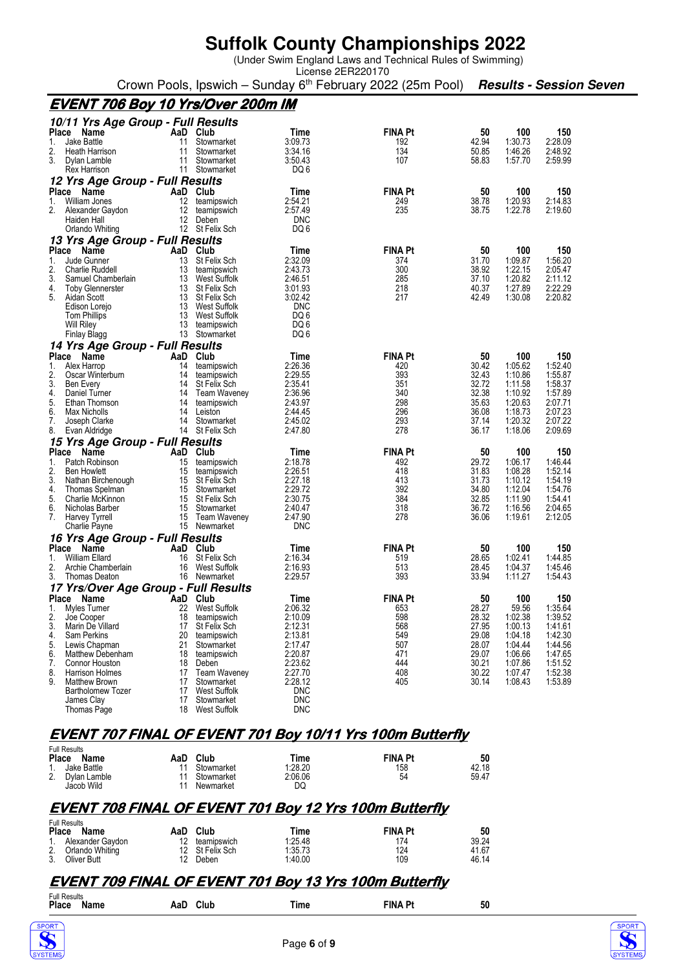(Under Swim England Laws and Technical Rules of Swimming)

License 2ER220170 Crown Pools, Ipswich – Sunday 6th February 2022 (25m Pool) **Results - Session Seven**

## **EVENT 706 Boy 10 Yrs/Over 200m IM**

|                    | 10/11 Yrs Age Group - Full Results       |           |                                   |                          |                       |                |                    |                    |
|--------------------|------------------------------------------|-----------|-----------------------------------|--------------------------|-----------------------|----------------|--------------------|--------------------|
|                    | Place<br><b>Name</b>                     | AaD       | Club                              | Time                     | <b>FINA Pt</b>        | 50             | 100                | 150                |
| 1.                 | <b>Jake Battle</b>                       | 11        | Stowmarket                        | 3:09.73                  | 192                   | 42.94          | 1:30.73            | 2:28.09            |
| 2.                 | <b>Heath Harrison</b>                    | 11        | Stowmarket                        | 3:34.16                  | 134                   | 50.85          | 1:46.26            | 2:48.92            |
| 3.                 | Dylan Lamble<br>Rex Harrison             | 11<br>11  | Stowmarket<br>Stowmarket          | 3:50.43<br>DQ 6          | 107                   | 58.83          | 1:57.70            | 2:59.99            |
|                    | 12 Yrs Age Group - Full Results          |           |                                   |                          |                       |                |                    |                    |
|                    | Place<br>Name                            | AaD       | Club                              | Time                     | <b>FINA Pt</b>        | 50             | 100                | 150                |
| 1.                 | William Jones                            | 12        | teamipswich                       | 2:54.21                  | 249                   | 38.78          | 1:20.93            | 2:14.83            |
| 2.                 | Alexander Gaydon                         | 12        | teamipswich                       | 2:57.49                  | 235                   | 38.75          | 1:22.78            | 2:19.60            |
|                    | Haiden Hall                              | 12        | Deben                             | <b>DNC</b>               |                       |                |                    |                    |
|                    | Orlando Whiting                          | 12        | St Felix Sch                      | DQ 6                     |                       |                |                    |                    |
|                    | 13 Yrs Age Group - Full Results          |           |                                   |                          |                       |                |                    |                    |
| 1.                 | Place<br><b>Name</b>                     | AaD       | Club                              | Time<br>2:32.09          | <b>FINA Pt</b><br>374 | 50<br>31.70    | 100<br>1:09.87     | 150                |
| 2.                 | Jude Gunner<br><b>Charlie Ruddell</b>    | 13<br>13  | St Felix Sch<br>teamipswich       | 2:43.73                  | 300                   | 38.92          | 1:22.15            | 1:56.20<br>2:05.47 |
| 3.                 | Samuel Chamberlain                       | 13        | <b>West Suffolk</b>               | 2:46.51                  | 285                   | 37.10          | 1:20.82            | 2:11.12            |
| 4.                 | <b>Toby Glennerster</b>                  | 13        | St Felix Sch                      | 3:01.93                  | 218                   | 40.37          | 1:27.89            | 2:22.29            |
| 5.                 | Aidan Scott                              | 13        | St Felix Sch                      | 3:02.42                  | 217                   | 42.49          | 1:30.08            | 2:20.82            |
|                    | Edison Lorejo                            | 13        | West Suffolk                      | <b>DNC</b>               |                       |                |                    |                    |
|                    | <b>Tom Phillips</b><br>Will Riley        | 13<br>13  | West Suffolk<br>teamipswich       | DQ 6<br>DQ 6             |                       |                |                    |                    |
|                    | Finlay Blagg                             | 13        | Stowmarket                        | DQ 6                     |                       |                |                    |                    |
|                    | 14 Yrs Age Group - Full Results          |           |                                   |                          |                       |                |                    |                    |
| <b>Place</b>       | Name                                     | AaD       | Club                              | Time                     | <b>FINA Pt</b>        | 50             | 100                | 150                |
| 1.                 | Alex Harrop                              | 14        | teamipswich                       | 2:26.36                  | 420                   | 30.42          | 1:05.62            | 1:52.40            |
| 2.                 | Oscar Winterburn                         | 14        | teamipswich                       | 2:29.55                  | 393                   | 32.43          | 1:10.86            | 1:55.87            |
| 3.                 | Ben Every                                | 14        | St Felix Sch                      | 2:35.41                  | 351                   | 32.72          | 1:11.58            | 1:58.37            |
| 4.<br>5.           | Daniel Turner<br>Ethan Thomson           | 14<br>14  | <b>Team Waveney</b>               | 2:36.96<br>2:43.97       | 340<br>298            | 32.38<br>35.63 | 1:10.92<br>1:20.63 | 1:57.89<br>2:07.71 |
| 6.                 | Max Nicholls                             | 14        | teamipswich<br>Leiston            | 2:44.45                  | 296                   | 36.08          | 1:18.73            | 2:07.23            |
| 7.                 | Joseph Clarke                            | 14        | Stowmarket                        | 2:45.02                  | 293                   | 37.14          | 1:20.32            | 2:07.22            |
| 8.                 | Evan Aldridge                            | 14        | St Felix Sch                      | 2:47.80                  | 278                   | 36.17          | 1:18.06            | 2:09.69            |
|                    | 15 Yrs Age Group - Full Results          |           |                                   |                          |                       |                |                    |                    |
| <b>Place</b>       | Name                                     | AaD       | Club                              | Time                     | <b>FINA Pt</b>        | 50             | 100                | 150                |
| 1.                 | Patch Robinson                           | 15        | teamipswich                       | 2:18.78                  | 492                   | 29.72          | 1:06.17            | 1:46.44            |
| 2.<br>3.           | <b>Ben Howlett</b><br>Nathan Birchenough | 15<br>15  | teamipswich<br>St Felix Sch       | 2:26.51<br>2:27.18       | 418<br>413            | 31.83<br>31.73 | 1:08.28<br>1:10.12 | 1:52.14<br>1:54.19 |
| 4.                 | Thomas Spelman                           | 15        | Stowmarket                        | 2:29.72                  | 392                   | 34.80          | 1:12.04            | 1:54.76            |
| 5.                 | Charlie McKinnon                         | 15        | St Felix Sch                      | 2:30.75                  | 384                   | 32.85          | 1:11.90            | 1:54.41            |
| 6.                 | Nicholas Barber                          | 15        | Stowmarket                        | 2:40.47                  | 318                   | 36.72          | 1:16.56            | 2:04.65            |
| 7.                 | Harvey Tyrrell                           | 15        | <b>Team Waveney</b>               | 2:47.90                  | 278                   | 36.06          | 1:19.61            | 2:12.05            |
|                    | Charlie Payne                            | 15        | Newmarket                         | <b>DNC</b>               |                       |                |                    |                    |
|                    | 16 Yrs Age Group - Full Results          |           |                                   |                          |                       |                |                    |                    |
| <b>Place</b><br>1. | Name<br><b>William Ellard</b>            | AaD<br>16 | Club<br>St Felix Sch              | Time<br>2:16.34          | <b>FINA Pt</b><br>519 | 50<br>28.65    | 100<br>1:02.41     | 150<br>1:44.85     |
| 2.                 | Archie Chamberlain                       | 16        | <b>West Suffolk</b>               | 2:16.93                  | 513                   | 28.45          | 1:04.37            | 1:45.46            |
| 3.                 | <b>Thomas Deaton</b>                     | 16        | Newmarket                         | 2:29.57                  | 393                   | 33.94          | 1:11.27            | 1:54.43            |
|                    | 17 Yrs/Over Age Group - Full Results     |           |                                   |                          |                       |                |                    |                    |
| <b>Place</b>       | Name                                     | AaD       | Club                              | Time                     | <b>FINA Pt</b>        | 50             | 100                | 150                |
| 1.                 | Myles Turner                             | 22        | <b>West Suffolk</b>               | 2:06.32                  | 653                   | 28.27          | 59.56              | 1:35.64            |
| 2.                 | Joe Cooper                               | 18        | teamipswich                       | 2:10.09                  | 598                   | 28.32          | 1:02.38            | 1:39.52            |
| 3.                 | Marin De Villard                         | 17        | St Felix Sch                      | 2:12.31                  | 568                   | 27.95          | 1:00.13<br>1:04.18 | 1:41.61            |
| 4.<br>5.           | Sam Perkins<br>Lewis Chapman             | 20<br>21  | teamipswich<br>Stowmarket         | 2:13.81<br>2:17.47       | 549<br>507            | 29.08<br>28.07 | 1:04.44            | 1:42.30<br>1:44.56 |
| 6.                 | <b>Matthew Debenham</b>                  | 18        | teamipswich                       | 2:20.87                  | 471                   | 29.07          | 1:06.66            | 1:47.65            |
| 7.                 | Connor Houston                           | 18        | Deben                             | 2:23.62                  | 444                   | 30.21          | 1:07.86            | 1:51.52            |
| 8.                 | Harrison Holmes                          | 17        | <b>Team Waveney</b>               | 2:27.70                  | 408                   | 30.22          | 1:07.47            | 1:52.38            |
| 9.                 | <b>Matthew Brown</b>                     | 17<br>17  | Stowmarket<br><b>West Suffolk</b> | 2:28.12<br><b>DNC</b>    | 405                   | 30.14          | 1:08.43            | 1:53.89            |
|                    |                                          |           |                                   |                          |                       |                |                    |                    |
|                    | <b>Bartholomew Tozer</b>                 |           |                                   |                          |                       |                |                    |                    |
|                    | James Clay<br>Thomas Page                | 17<br>18  | Stowmarket<br><b>West Suffolk</b> | <b>DNC</b><br><b>DNC</b> |                       |                |                    |                    |

## **EVENT 707 FINAL OF EVENT 701 Boy 10/11 Yrs 100m Butterfly**

| <b>Full Results</b> |                  |         |                |       |  |  |  |  |  |
|---------------------|------------------|---------|----------------|-------|--|--|--|--|--|
| Place<br>Name       | AaD Club         | Time    | <b>FINA Pt</b> | 50    |  |  |  |  |  |
| Jake Battle         | 11<br>Stowmarket | 1:28.20 | 158            | 42.18 |  |  |  |  |  |
| 2.<br>Dylan Lamble  | 11<br>Stowmarket | 2:06.06 | 54             | 59.47 |  |  |  |  |  |
| Jacob Wild          | Newmarket        | DQ      |                |       |  |  |  |  |  |

### **EVENT 708 FINAL OF EVENT 701 Boy 12 Yrs 100m Butterfly**

|    | <b>Full Results</b><br>Place<br>Name | AaD | Club            | Time    | <b>FINA Pt</b> | 50    |
|----|--------------------------------------|-----|-----------------|---------|----------------|-------|
|    | 1. Alexander Gaydon                  | 12  | teamipswich     | 1:25.48 | 174            | 39.24 |
| 2. | Orlando Whiting                      |     | 12 St Felix Sch | 1.35.73 | 124            | 41.67 |
| 3. | Oliver Butt                          |     | Deben           | 1:40.00 | 109            | 46.14 |

## **EVENT 709 FINAL OF EVENT 701 Boy 13 Yrs 100m Butterfly**

| <b>Full Results</b> |             |     |         |    |
|---------------------|-------------|-----|---------|----|
| Place<br>Name       | Club<br>AaD | ïme | FINA Pt | 50 |
|                     |             |     |         |    |



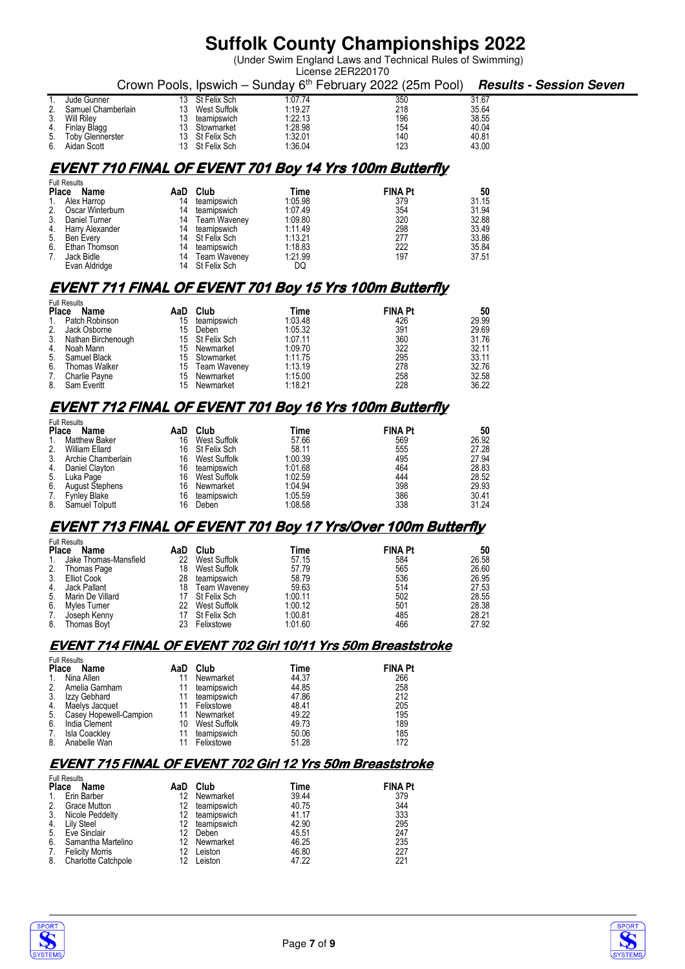(Under Swim England Laws and Technical Rules of Swimming)

|    | License 2ER220170   |     |                 |         |                                                                        |       |                         |  |  |  |
|----|---------------------|-----|-----------------|---------|------------------------------------------------------------------------|-------|-------------------------|--|--|--|
|    |                     |     |                 |         | Crown Pools, Ipswich – Sunday 6 <sup>th</sup> February 2022 (25m Pool) |       | Results - Session Seven |  |  |  |
|    | Jude Gunner         | 13. | St Felix Sch    | 1:07.74 | 350                                                                    | 31.67 |                         |  |  |  |
| 2. | Samuel Chamberlain  | 13  | West Suffolk    | 1:19.27 | 218                                                                    | 35.64 |                         |  |  |  |
|    | 3. Will Rilev       | 13  | teamipswich     | 1:22.13 | 196                                                                    | 38.55 |                         |  |  |  |
|    | 4. Finlay Blagg     | 13. | Stowmarket      | 1:28.98 | 154                                                                    | 40.04 |                         |  |  |  |
|    | 5. Toby Glennerster |     | 13 St Felix Sch | 1:32.01 | 140                                                                    | 40.81 |                         |  |  |  |
|    | 6. Aidan Scott      |     | 13 St Felix Sch | 1:36.04 | 123                                                                    | 43.00 |                         |  |  |  |

## **EVENT 710 FINAL OF EVENT 701 Boy 14 Yrs 100m Butterfly**

|       | <b>Full Results</b> |    |                 |         |                |       |
|-------|---------------------|----|-----------------|---------|----------------|-------|
| Place | Name                |    | AaD Club        | Time    | <b>FINA Pt</b> | 50    |
|       | 1. Alex Harrop      | 14 | teamipswich     | 1:05.98 | 379            | 31.15 |
| 2.    | Oscar Winterburn    | 14 | teamipswich     | 1:07.49 | 354            | 31.94 |
| 3.    | Daniel Turner       | 14 | Team Waveney    | 1:09.80 | 320            | 32.88 |
|       | 4. Harry Alexander  | 14 | teamipswich     | 1:11.49 | 298            | 33.49 |
|       | 5. Ben Every        |    | 14 St Felix Sch | 1:13.21 | 277            | 33.86 |
| 6.    | Ethan Thomson       | 14 | teamipswich     | 1:18.83 | 222            | 35.84 |
| 7.    | Jack Bidle          | 14 | Team Waveney    | 1:21.99 | 197            | 37.51 |
|       | Evan Aldridge       |    | 14 St Felix Sch | DQ      |                |       |

### **EVENT 711 FINAL OF EVENT 701 Boy 15 Yrs 100m Butterfly**

|              | <b>Full Results</b> |     |                 |         |                |       |  |  |
|--------------|---------------------|-----|-----------------|---------|----------------|-------|--|--|
| <b>Place</b> | Name                | AaD | Club            | Time    | <b>FINA Pt</b> | 50    |  |  |
| $1_{\cdot}$  | Patch Robinson      | 15  | teamipswich     | 1:03.48 | 426            | 29.99 |  |  |
| 2.           | Jack Osborne        | 15  | Deben           | 1:05.32 | 391            | 29.69 |  |  |
| 3.           | Nathan Birchenough  |     | 15 St Felix Sch | 1:07.11 | 360            | 31.76 |  |  |
| 4.           | Noah Mann           |     | 15 Newmarket    | 1:09.70 | 322            | 32.11 |  |  |
| 5.           | Samuel Black        |     | 15 Stowmarket   | 1:11.75 | 295            | 33.11 |  |  |
| 6.           | Thomas Walker       |     | 15 Team Waveney | 1:13.19 | 278            | 32.76 |  |  |
| 7.           | Charlie Payne       | 15  | Newmarket       | 1:15.00 | 258            | 32.58 |  |  |
| 8.           | Sam Everitt         | 15  | Newmarket       | 1:18.21 | 228            | 36.22 |  |  |

## **EVENT 712 FINAL OF EVENT 701 Boy 16 Yrs 100m Butterfly**

|         | <b>Full Results</b>    |     |                 |         |                |       |
|---------|------------------------|-----|-----------------|---------|----------------|-------|
|         | Place<br>Name          | AaD | Club            | Time    | <b>FINA Pt</b> | 50    |
| $1_{-}$ | Matthew Baker          | 16  | West Suffolk    | 57.66   | 569            | 26.92 |
| 2.      | William Ellard         |     | 16 St Felix Sch | 58.11   | 555            | 27.28 |
| 3.      | Archie Chamberlain     | 16  | West Suffolk    | 1:00.39 | 495            | 27.94 |
| 4.      | Daniel Clayton         | 16  | teamipswich     | 1:01.68 | 464            | 28.83 |
| 5.      | Luka Page              | 16  | West Suffolk    | 1:02.59 | 444            | 28.52 |
| 6.      | <b>August Stephens</b> | 16  | Newmarket       | 1:04.94 | 398            | 29.93 |
| 7.      | <b>Fynley Blake</b>    | 16  | teamipswich     | 1:05.59 | 386            | 30.41 |
| 8.      | Samuel Tolputt         | 16  | Deben           | 1:08.58 | 338            | 31.24 |

### **EVENT 713 FINAL OF EVENT 701 Boy 17 Yrs/Over 100m Butterfly**

|                | <b>Full Results</b>   |     |                 |         |                |       |  |  |  |
|----------------|-----------------------|-----|-----------------|---------|----------------|-------|--|--|--|
| <b>Place</b>   | Name                  | AaD | Club            | Time    | <b>FINA Pt</b> | 50    |  |  |  |
| $\mathbf{1}$ . | Jake Thomas-Mansfield | 22  | West Suffolk    | 57.15   | 584            | 26.58 |  |  |  |
| 2.             | Thomas Page           | 18  | West Suffolk    | 57.79   | 565            | 26.60 |  |  |  |
| 3.             | Elliot Cook           | 28  | teamipswich     | 58.79   | 536            | 26.95 |  |  |  |
| 4.             | Jack Pallant          | 18  | Team Waveney    | 59.63   | 514            | 27.53 |  |  |  |
| 5.             | Marin De Villard      |     | 17 St Felix Sch | 1:00.11 | 502            | 28.55 |  |  |  |
| 6.             | Myles Turner          | 22  | West Suffolk    | 1:00.12 | 501            | 28.38 |  |  |  |
| 7.             | Joseph Kenny          |     | St Felix Sch    | 1:00.81 | 485            | 28.21 |  |  |  |
| 8.             | <b>Thomas Bovt</b>    | 23  | Felixstowe      | 1:01.60 | 466            | 27.92 |  |  |  |

#### **EVENT 714 FINAL OF EVENT 702 Girl 10/11 Yrs 50m Breaststroke**

|                | <b>Full Results</b>    |     |              |       |                |
|----------------|------------------------|-----|--------------|-------|----------------|
| <b>Place</b>   | Name                   | AaD | Club         | Time  | <b>FINA Pt</b> |
| $\mathbf{1}$ . | Nina Allen             | 11  | Newmarket    | 44.37 | 266            |
| 2.             | Amelia Garnham         | 11  | teamipswich  | 44.85 | 258            |
| 3.             | Izzy Gebhard           | 11  | teamipswich  | 47.86 | 212            |
| 4.             | Maelys Jacquet         | 11  | Felixstowe   | 48.41 | 205            |
| 5.             | Casey Hopewell-Campion | 11  | Newmarket    | 49.22 | 195            |
| 6.             | India Clement          | 10  | West Suffolk | 49.73 | 189            |
| 7.             | Isla Coackley          | 11  | teamipswich  | 50.06 | 185            |
| 8.             | Anabelle Wan           |     | Felixstowe   | 51.28 | 172            |

### **EVENT 715 FINAL OF EVENT 702 Girl 12 Yrs 50m Breaststroke**

|                | <b>Full Results</b>        |     |             |       |                |  |  |  |
|----------------|----------------------------|-----|-------------|-------|----------------|--|--|--|
| <b>Place</b>   | Name                       | AaD | Club        | Time  | <b>FINA Pt</b> |  |  |  |
| $\mathbf{1}$ . | Erin Barber                | 12  | Newmarket   | 39.44 | 379            |  |  |  |
| 2.             | <b>Grace Mutton</b>        |     | teamipswich | 40.75 | 344            |  |  |  |
| 3.             | Nicole Peddelty            | 12  | teamipswich | 41.17 | 333            |  |  |  |
|                | 4. Lily Steel              | 12  | teamipswich | 42.90 | 295            |  |  |  |
| 5.             | Eve Sinclair               |     | Deben       | 45.51 | 247            |  |  |  |
| 6.             | Samantha Martelino         | 12  | Newmarket   | 46.25 | 235            |  |  |  |
| 7.             | <b>Felicity Morris</b>     |     | Leiston     | 46.80 | 227            |  |  |  |
| 8.             | <b>Charlotte Catchpole</b> |     | Leiston     | 47.22 | 221            |  |  |  |



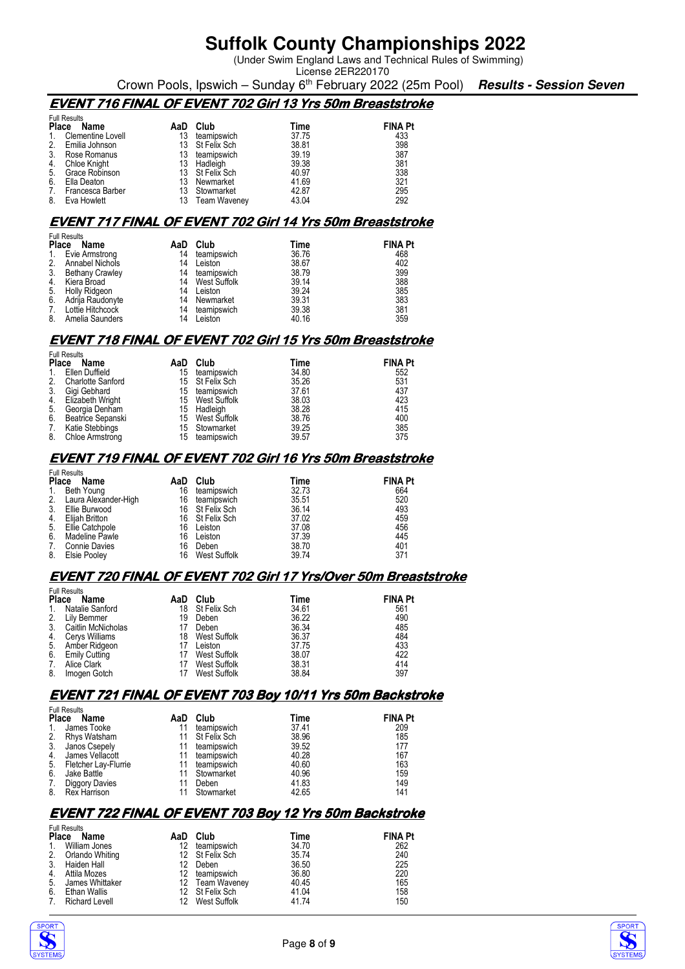(Under Swim England Laws and Technical Rules of Swimming)

License 2ER220170 Crown Pools, Ipswich – Sunday 6th February 2022 (25m Pool) **Results - Session Seven**

### **EVENT 716 FINAL OF EVENT 702 Girl 13 Yrs 50m Breaststroke**

| Name              | AaD                                                   | Club                | Time            | <b>FINA Pt</b> |
|-------------------|-------------------------------------------------------|---------------------|-----------------|----------------|
| Clementine Lovell |                                                       | teamipswich         | 37.75           | 433            |
|                   |                                                       | St Felix Sch        | 38.81           | 398            |
| Rose Romanus      |                                                       | teamipswich         | 39.19           | 387            |
| Chloe Knight      | 13                                                    | Hadleigh            | 39.38           | 381            |
| Grace Robinson    |                                                       |                     | 40.97           | 338            |
| Ella Deaton       |                                                       | Newmarket           | 41.69           | 321            |
| Francesca Barber  |                                                       | Stowmarket          | 42.87           | 295            |
| Eva Howlett       |                                                       | <b>Team Waveney</b> | 43.04           | 292            |
|                   | <b>Full Results</b><br><b>Place</b><br>Emilia Johnson |                     | 13 St Felix Sch |                |

#### **EVENT 717 FINAL OF EVENT 702 Girl 14 Yrs 50m Breaststroke**

| Name            | AaD                                                                                                                                                      | Club        | Time         | <b>FINA Pt</b> |
|-----------------|----------------------------------------------------------------------------------------------------------------------------------------------------------|-------------|--------------|----------------|
|                 | 14                                                                                                                                                       | teamipswich | 36.76        | 468            |
|                 | 14                                                                                                                                                       | Leiston     | 38.67        | 402            |
|                 | 14                                                                                                                                                       | teamipswich | 38.79        | 399            |
|                 | 14                                                                                                                                                       |             | 39.14        | 388            |
| Holly Ridgeon   | 14                                                                                                                                                       | Leiston     | 39.24        | 385            |
|                 | 14                                                                                                                                                       | Newmarket   | 39.31        | 383            |
|                 | 14                                                                                                                                                       | teamipswich | 39.38        | 381            |
| Amelia Saunders | 14                                                                                                                                                       | Leiston     | 40.16        | 359            |
|                 | <b>Full Results</b><br><b>Place</b><br>Evie Armstrong<br>Annabel Nichols<br>Bethany Crawley<br>4. Kiera Broad<br>Adriia Raudonvte<br>7. Lottie Hitchcock |             | West Suffolk |                |

#### **EVENT 718 FINAL OF EVENT 702 Girl 15 Yrs 50m Breaststroke**

| Name                     | AaD                                                                        | Club        | Time                                                                               | <b>FINA Pt</b> |
|--------------------------|----------------------------------------------------------------------------|-------------|------------------------------------------------------------------------------------|----------------|
| Ellen Duffield           | 15                                                                         | teamipswich | 34.80                                                                              | 552            |
| <b>Charlotte Sanford</b> |                                                                            |             | 35.26                                                                              | 531            |
| Gigi Gebhard             | 15                                                                         | teamipswich | 37.61                                                                              | 437            |
|                          |                                                                            |             | 38.03                                                                              | 423            |
| Georgia Denham           |                                                                            |             | 38.28                                                                              | 415            |
| Beatrice Sepanski        | 15                                                                         |             | 38.76                                                                              | 400            |
| Katie Stebbings          |                                                                            |             | 39.25                                                                              | 385            |
|                          | 15                                                                         | teamipswich | 39.57                                                                              | 375            |
|                          | <b>Full Results</b><br><b>Place</b><br>Elizabeth Wright<br>Chloe Armstrong |             | 15 St Felix Sch<br>15 West Suffolk<br>15 Hadleigh<br>West Suffolk<br>15 Stowmarket |                |

#### **EVENT 719 FINAL OF EVENT 702 Girl 16 Yrs 50m Breaststroke**

|              | <b>Full Results</b>  |     |                 |       |                |  |  |  |
|--------------|----------------------|-----|-----------------|-------|----------------|--|--|--|
| <b>Place</b> | Name                 | AaD | Club            | Time  | <b>FINA Pt</b> |  |  |  |
| 1.           | Beth Young           | 16  | teamipswich     | 32.73 | 664            |  |  |  |
| 2.           | Laura Alexander-High | 16  | teamipswich     | 35.51 | 520            |  |  |  |
| 3.           | Ellie Burwood        |     | 16 St Felix Sch | 36.14 | 493            |  |  |  |
| 4.           | Eliiah Britton       |     | 16 St Felix Sch | 37.02 | 459            |  |  |  |
| 5.           | Ellie Catchpole      | 16  | Leiston         | 37.08 | 456            |  |  |  |
| 6.           | Madeline Pawle       | 16  | Leiston         | 37.39 | 445            |  |  |  |
| 7.           | <b>Connie Davies</b> | 16  | Deben           | 38.70 | 401            |  |  |  |
| 8.           | Elsie Pooley         | 16  | West Suffolk    | 39.74 | 371            |  |  |  |

#### **EVENT 720 FINAL OF EVENT 702 Girl 17 Yrs/Over 50m Breaststroke**

|              | <b>Full Results</b>   |     |              |       |                |  |  |  |
|--------------|-----------------------|-----|--------------|-------|----------------|--|--|--|
| <b>Place</b> | Name                  | AaD | Club         | Time  | <b>FINA Pt</b> |  |  |  |
|              | Natalie Sanford       | 18  | St Felix Sch | 34.61 | 561            |  |  |  |
|              | Lily Bemmer           | 19  | Deben        | 36.22 | 490            |  |  |  |
| 3.           | Caitlin McNicholas    |     | Deben        | 36.34 | 485            |  |  |  |
| 4.           | <b>Cervs Williams</b> | 18  | West Suffolk | 36.37 | 484            |  |  |  |
| 5.           | Amber Ridgeon         |     | Leiston      | 37.75 | 433            |  |  |  |
| 6.           | <b>Emily Cutting</b>  |     | West Suffolk | 38.07 | 422            |  |  |  |
| 7.           | Alice Clark           |     | West Suffolk | 38.31 | 414            |  |  |  |
| 8.           | Imogen Gotch          |     | West Suffolk | 38.84 | 397            |  |  |  |

#### **EVENT 721 FINAL OF EVENT 703 Boy 10/11 Yrs 50m Backstroke**

|              | <b>Full Results</b>  |     |              |       |                |  |  |  |
|--------------|----------------------|-----|--------------|-------|----------------|--|--|--|
| <b>Place</b> | Name                 | AaD | Club         | Time  | <b>FINA Pt</b> |  |  |  |
| 1.           | James Tooke          |     | teamipswich  | 37.41 | 209            |  |  |  |
| 2.           | Rhys Watsham         |     | St Felix Sch | 38.96 | 185            |  |  |  |
|              | 3. Janos Csepely     |     | teamipswich  | 39.52 | 177            |  |  |  |
|              | 4. James Vellacott   |     | teamipswich  | 40.28 | 167            |  |  |  |
| 5.           | Fletcher Lay-Flurrie |     | teamipswich  | 40.60 | 163            |  |  |  |
| 6.           | Jake Battle          |     | Stowmarket   | 40.96 | 159            |  |  |  |
| 7.           | Diggory Davies       |     | Deben        | 41.83 | 149            |  |  |  |
| 8.           | Rex Harrison         |     | Stowmarket   | 42.65 | 141            |  |  |  |

#### **EVENT 722 FINAL OF EVENT 703 Boy 12 Yrs 50m Backstroke**

|                      | <b>Full Results</b>   |     |                 |       |                |
|----------------------|-----------------------|-----|-----------------|-------|----------------|
| <b>Place</b><br>Name |                       | AaD | Club            | Time  | <b>FINA Pt</b> |
|                      | William Jones         | 12. | teamipswich     | 34.70 | 262            |
| 2.                   | Orlando Whiting       |     | 12 St Felix Sch | 35.74 | 240            |
| 3.                   | Haiden Hall           | 12  | Deben           | 36.50 | 225            |
|                      | Attila Mozes          | 12. | teamipswich     | 36.80 | 220            |
| 5.                   | James Whittaker       |     | 12 Team Waveney | 40.45 | 165            |
| 6.                   | Ethan Wallis          |     | 12 St Felix Sch | 41.04 | 158            |
| 7                    | <b>Richard Levell</b> |     | 12 West Suffolk | 41.74 | 150            |
|                      |                       |     |                 |       |                |